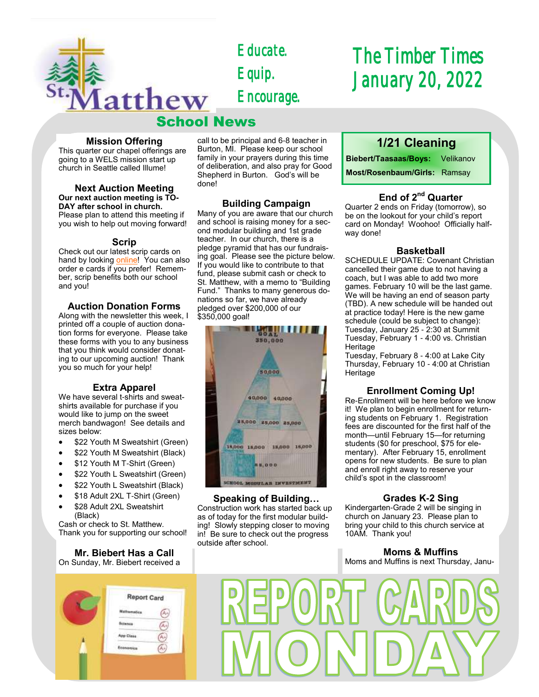

*Educate. Equip. Encourage.* 

## School News

#### **Mission Offering**

This quarter our chapel offerings are going to a WELS mission start up church in Seattle called Illume!

#### **Next Auction Meeting Our next auction meeting is TO-DAY after school in church.**  Please plan to attend this meeting if you wish to help out moving forward!

#### **Scrip**

Check out our latest scrip cards on hand by looking [online!](https://school.stmatthewspokane.org/order-scrip.html) You can also order e cards if you prefer! Remember, scrip benefits both our school and you!

#### **Auction Donation Forms**

Along with the newsletter this week, I printed off a couple of auction donation forms for everyone. Please take these forms with you to any business that you think would consider donating to our upcoming auction! Thank you so much for your help!

#### **Extra Apparel**

We have several t-shirts and sweatshirts available for purchase if you would like to jump on the sweet merch bandwagon! See details and sizes below:

- \$22 Youth M Sweatshirt (Green)
- \$22 Youth M Sweatshirt (Black)
- \$12 Youth M T-Shirt (Green)
- \$22 Youth L Sweatshirt (Green)
- \$22 Youth L Sweatshirt (Black)
- \$18 Adult 2XL T-Shirt (Green)
- \$28 Adult 2XL Sweatshirt (Black)

Cash or check to St. Matthew. Thank you for supporting our school!

#### **Mr. Biebert Has a Call**

On Sunday, Mr. Biebert received a

## **Report Card** (Ar)  $\bigcirc$ Æ9 **App Class** Ã.

call to be principal and 6-8 teacher in Burton, MI. Please keep our school family in your prayers during this time of deliberation, and also pray for Good Shepherd in Burton. God's will be done!

#### **Building Campaign**

Many of you are aware that our church and school is raising money for a second modular building and 1st grade teacher. In our church, there is a pledge pyramid that has our fundraising goal. Please see the picture below. If you would like to contribute to that fund, please submit cash or check to St. Matthew, with a memo to "Building Fund." Thanks to many generous donations so far, we have already pledged over \$200,000 of our \$350,000 goal!



#### **Speaking of Building…**

Construction work has started back up as of today for the first modular building! Slowly stepping closer to moving in! Be sure to check out the progress outside after school.

# *The Timber Times January 20, 2022*

## **1/21 Cleaning**

**Biebert/Taasaas/Boys:** Velikanov **Most/Rosenbaum/Girls:** Ramsay

#### **End of 2nd Quarter**

Quarter 2 ends on Friday (tomorrow), so be on the lookout for your child's report card on Monday! Woohoo! Officially halfway done!

#### **Basketball**

SCHEDULE UPDATE: Covenant Christian cancelled their game due to not having a coach, but I was able to add two more games. February 10 will be the last game. We will be having an end of season party (TBD). A new schedule will be handed out at practice today! Here is the new game schedule (could be subject to change): Tuesday, January 25 - 2:30 at Summit Tuesday, February 1 - 4:00 vs. Christian **Heritage** 

Tuesday, February 8 - 4:00 at Lake City Thursday, February 10 - 4:00 at Christian **Heritage** 

#### **Enrollment Coming Up!**

Re-Enrollment will be here before we know it! We plan to begin enrollment for returning students on February 1. Registration fees are discounted for the first half of the month—until February 15—for returning students (\$0 for preschool, \$75 for elementary). After February 15, enrollment opens for new students. Be sure to plan and enroll right away to reserve your child's spot in the classroom!

#### **Grades K-2 Sing**

Kindergarten-Grade 2 will be singing in church on January 23. Please plan to bring your child to this church service at 10AM. Thank you!

#### **Moms & Muffins**

Moms and Muffins is next Thursday, Janu-

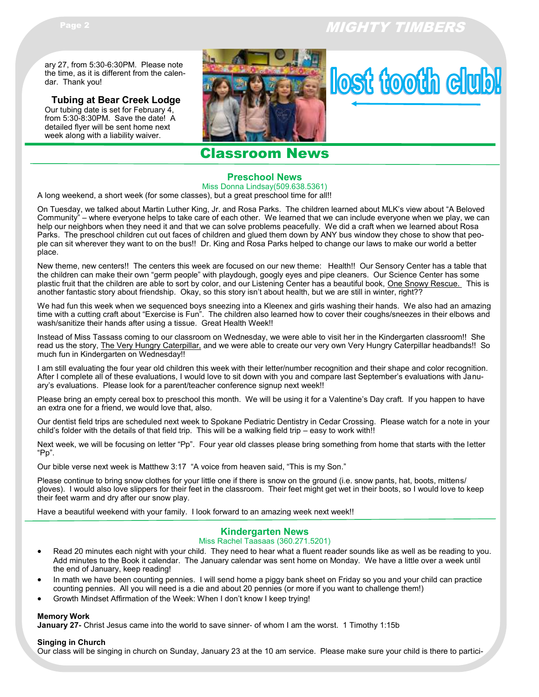## Page 2 MIGHTY TIMBERS

place.

ary 27, from 5:30-6:30PM. Please note the time, as it is different from the calendar. Thank you!

**Tubing at Bear Creek Lodge** Our tubing date is set for February 4, from 5:30-8:30PM. Save the date! A detailed flyer will be sent home next week along with a liability waiver.





## Classroom News

#### **Preschool News**

Miss Donna Lindsay(509.638.5361) A long weekend, a short week (for some classes), but a great preschool time for all!!

On Tuesday, we talked about Martin Luther King, Jr. and Rosa Parks. The children learned about MLK's view about "A Beloved Community" – where everyone helps to take care of each other. We learned that we can include everyone when we play, we can help our neighbors when they need it and that we can solve problems peacefully. We did a craft when we learned about Rosa Parks. The preschool children cut out faces of children and glued them down by ANY bus window they chose to show that peo-

New theme, new centers!! The centers this week are focused on our new theme: Health!! Our Sensory Center has a table that the children can make their own "germ people" with playdough, googly eyes and pipe cleaners. Our Science Center has some plastic fruit that the children are able to sort by color, and our Listening Center has a beautiful book, One Snowy Rescue. This is another fantastic story about friendship. Okay, so this story isn't about health, but we are still in winter, right??

ple can sit wherever they want to on the bus!! Dr. King and Rosa Parks helped to change our laws to make our world a better

We had fun this week when we sequenced boys sneezing into a Kleenex and girls washing their hands. We also had an amazing time with a cutting craft about "Exercise is Fun". The children also learned how to cover their coughs/sneezes in their elbows and wash/sanitize their hands after using a tissue. Great Health Week!!

Instead of Miss Tassass coming to our classroom on Wednesday, we were able to visit her in the Kindergarten classroom!! She read us the story, The Very Hungry Caterpillar, and we were able to create our very own Very Hungry Caterpillar headbands!! So much fun in Kindergarten on Wednesday!!

I am still evaluating the four year old children this week with their letter/number recognition and their shape and color recognition. After I complete all of these evaluations, I would love to sit down with you and compare last September's evaluations with January's evaluations. Please look for a parent/teacher conference signup next week!!

Please bring an empty cereal box to preschool this month. We will be using it for a Valentine's Day craft. If you happen to have an extra one for a friend, we would love that, also.

Our dentist field trips are scheduled next week to Spokane Pediatric Dentistry in Cedar Crossing. Please watch for a note in your child's folder with the details of that field trip. This will be a walking field trip – easy to work with!!

Next week, we will be focusing on letter "Pp". Four year old classes please bring something from home that starts with the letter "Pp".

Our bible verse next week is Matthew 3:17 "A voice from heaven said, "This is my Son."

Please continue to bring snow clothes for your little one if there is snow on the ground (i.e. snow pants, hat, boots, mittens/ gloves). I would also love slippers for their feet in the classroom. Their feet might get wet in their boots, so I would love to keep their feet warm and dry after our snow play.

Have a beautiful weekend with your family. I look forward to an amazing week next week!!

#### **Kindergarten News**

#### Miss Rachel Taasaas (360.271.5201)

- Read 20 minutes each night with your child. They need to hear what a fluent reader sounds like as well as be reading to you. Add minutes to the Book it calendar. The January calendar was sent home on Monday. We have a little over a week until the end of January, keep reading!
- In math we have been counting pennies. I will send home a piggy bank sheet on Friday so you and your child can practice counting pennies. All you will need is a die and about 20 pennies (or more if you want to challenge them!)
- Growth Mindset Affirmation of the Week: When I don't know I keep trying!

#### **Memory Work**

**January 27-** Christ Jesus came into the world to save sinner- of whom I am the worst. 1 Timothy 1:15b

#### **Singing in Church**

Our class will be singing in church on Sunday, January 23 at the 10 am service. Please make sure your child is there to partici-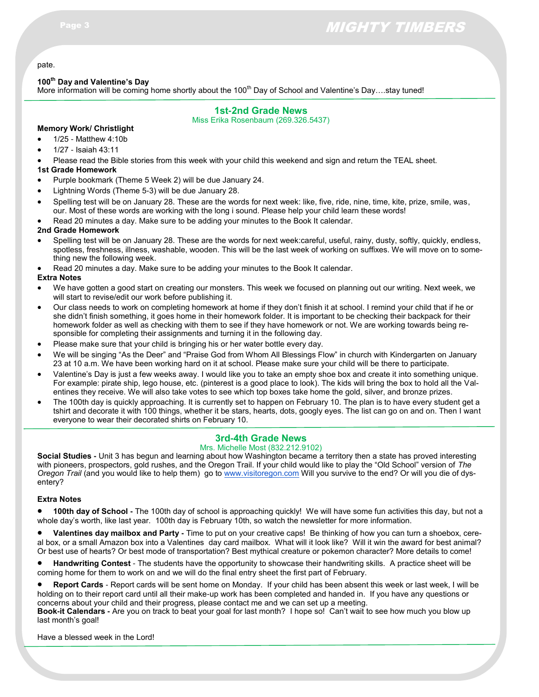## Page 3 MIGHTY TIMBERS

#### pate.

#### **100th Day and Valentine's Day**

More information will be coming home shortly about the 100<sup>th</sup> Day of School and Valentine's Day....stay tuned!

#### **1st-2nd Grade News**

Miss Erika Rosenbaum (269.326.5437)

#### **Memory Work/ Christlight**

- 1/25 Matthew 4:10b
- 1/27 Isaiah 43:11

Please read the Bible stories from this week with your child this weekend and sign and return the TEAL sheet.

#### **1st Grade Homework**

- Purple bookmark (Theme 5 Week 2) will be due January 24.
- Lightning Words (Theme 5-3) will be due January 28.
- Spelling test will be on January 28. These are the words for next week: like, five, ride, nine, time, kite, prize, smile, was, our. Most of these words are working with the long i sound. Please help your child learn these words!
- Read 20 minutes a day. Make sure to be adding your minutes to the Book It calendar.

#### **2nd Grade Homework**

- Spelling test will be on January 28. These are the words for next week:careful, useful, rainy, dusty, softly, quickly, endless, spotless, freshness, illness, washable, wooden. This will be the last week of working on suffixes. We will move on to something new the following week.
- Read 20 minutes a day. Make sure to be adding your minutes to the Book It calendar.

#### **Extra Notes**

- We have gotten a good start on creating our monsters. This week we focused on planning out our writing. Next week, we will start to revise/edit our work before publishing it.
- Our class needs to work on completing homework at home if they don't finish it at school. I remind your child that if he or she didn't finish something, it goes home in their homework folder. It is important to be checking their backpack for their homework folder as well as checking with them to see if they have homework or not. We are working towards being responsible for completing their assignments and turning it in the following day.
- Please make sure that your child is bringing his or her water bottle every day.
- We will be singing "As the Deer" and "Praise God from Whom All Blessings Flow" in church with Kindergarten on January 23 at 10 a.m. We have been working hard on it at school. Please make sure your child will be there to participate.
- Valentine's Day is just a few weeks away. I would like you to take an empty shoe box and create it into something unique. For example: pirate ship, lego house, etc. (pinterest is a good place to look). The kids will bring the box to hold all the Valentines they receive. We will also take votes to see which top boxes take home the gold, silver, and bronze prizes.
- The 100th day is quickly approaching. It is currently set to happen on February 10. The plan is to have every student get a tshirt and decorate it with 100 things, whether it be stars, hearts, dots, googly eyes. The list can go on and on. Then I want everyone to wear their decorated shirts on February 10.

#### **3rd-4th Grade News**

#### Mrs. Michelle Most (832.212.9102)

**Social Studies -** Unit 3 has begun and learning about how Washington became a territory then a state has proved interesting with pioneers, prospectors, gold rushes, and the Oregon Trail. If your child would like to play the "Old School" version of *The Oregon Trail* (and you would like to help them) go to [www.visitoregon.com](http://www.visitoregon.com) Will you survive to the end? Or will you die of dysentery?

#### **Extra Notes**

 **100th day of School -** The 100th day of school is approaching quickly! We will have some fun activities this day, but not a whole day's worth, like last year. 100th day is February 10th, so watch the newsletter for more information.

 **Valentines day mailbox and Party -** Time to put on your creative caps! Be thinking of how you can turn a shoebox, cereal box, or a small Amazon box into a Valentines day card mailbox. What will it look like? Will it win the award for best animal? Or best use of hearts? Or best mode of transportation? Best mythical creature or pokemon character? More details to come!

 **Handwriting Contest** - The students have the opportunity to showcase their handwriting skills. A practice sheet will be coming home for them to work on and we will do the final entry sheet the first part of February.

 **Report Cards** - Report cards will be sent home on Monday. If your child has been absent this week or last week, I will be holding on to their report card until all their make-up work has been completed and handed in. If you have any questions or concerns about your child and their progress, please contact me and we can set up a meeting.

**Book-it Calendars -** Are you on track to beat your goal for last month? I hope so! Can't wait to see how much you blow up last month's goal!

Have a blessed week in the Lord!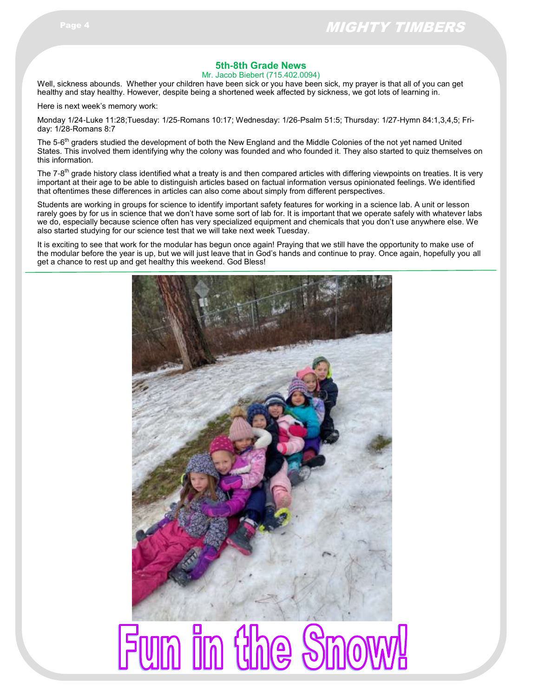#### **5th-8th Grade News**

Mr. Jacob Biebert (715.402.0094)

Well, sickness abounds. Whether your children have been sick or you have been sick, my prayer is that all of you can get healthy and stay healthy. However, despite being a shortened week affected by sickness, we got lots of learning in.

Here is next week's memory work:

Monday 1/24-Luke 11:28;Tuesday: 1/25-Romans 10:17; Wednesday: 1/26-Psalm 51:5; Thursday: 1/27-Hymn 84:1,3,4,5; Friday: 1/28-Romans 8:7

The 5-6<sup>th</sup> graders studied the development of both the New England and the Middle Colonies of the not yet named United States. This involved them identifying why the colony was founded and who founded it. They also started to quiz themselves on this information.

The 7-8<sup>th</sup> grade history class identified what a treaty is and then compared articles with differing viewpoints on treaties. It is very important at their age to be able to distinguish articles based on factual information versus opinionated feelings. We identified that oftentimes these differences in articles can also come about simply from different perspectives.

Students are working in groups for science to identify important safety features for working in a science lab. A unit or lesson rarely goes by for us in science that we don't have some sort of lab for. It is important that we operate safely with whatever labs we do, especially because science often has very specialized equipment and chemicals that you don't use anywhere else. We also started studying for our science test that we will take next week Tuesday.

It is exciting to see that work for the modular has begun once again! Praying that we still have the opportunity to make use of the modular before the year is up, but we will just leave that in God's hands and continue to pray. Once again, hopefully you all get a chance to rest up and get healthy this weekend. God Bless!



# Fun in the Snow!